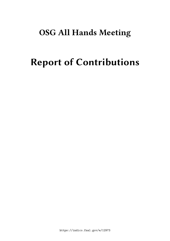## **OSG All Hands Meeting**

# **Report of Contributions**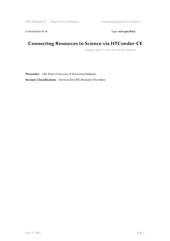Contribution ID: 0 Type: **not specified** 

## **Connecting Resources to Science via HTCondor-CE**

*Tuesday, March 7, 2017 9:10 AM (20 minutes)*

**Presenter:** LIN, Brian (University of Wisconsin-Madison)

**Session Classification:** Services for OSG Resource Providers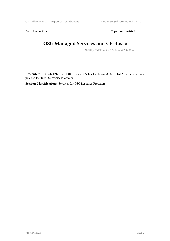Contribution ID: 1 Type: **not specified** 

## **OSG Managed Services and CE-Bosco**

*Tuesday, March 7, 2017 9:30 AM (20 minutes)*

**Presenters:** Dr WEITZEL, Derek (University of Nebraska - Lincoln); Mr THAPA, Suchandra (Computation Institute / University of Chicago)

**Session Classification:** Services for OSG Resource Providers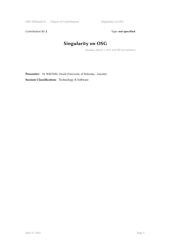Contribution ID: 2 Type: **not specified** 

## **Singularity on OSG**

*Tuesday, March 7, 2017 4:20 PM (20 minutes)*

**Presenter:** Dr WEITZEL, Derek (University of Nebraska - Lincoln) **Session Classification:** Technology & Software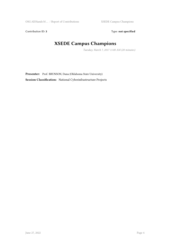Contribution ID: 3 Type: **not specified** 

## **XSEDE Campus Champions**

*Tuesday, March 7, 2017 11:00 AM (20 minutes)*

Presenter: Prof. BRUNSON, Dana (Oklahoma State University) **Session Classification:** National Cyberinfrastructure Projects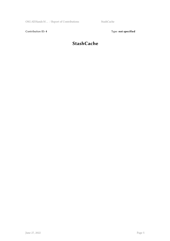Contribution ID: 4 Type: **not specified** 

## **StashCache**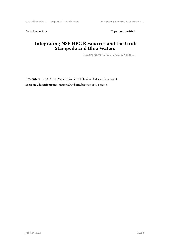Contribution ID: 5 Type: **not specified** 

#### **Integrating NSF HPC Resources and the Grid: Stampede and Blue Waters**

*Tuesday, March 7, 2017 11:20 AM (20 minutes)*

**Presenter:** NEUBAUER, Mark (University of Illinois at Urbana-Champaign) **Session Classification:** National Cyberinfrastructure Projects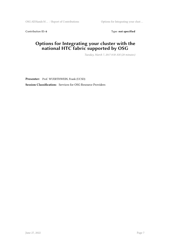Contribution ID: 6 Type: **not specified** 

#### **Options for Integrating your cluster with the national HTC fabric supported by OSG**

*Tuesday, March 7, 2017 8:50 AM (20 minutes)*

**Presenter:** Prof. WUERTHWEIN, Frank (UCSD) **Session Classification:** Services for OSG Resource Providers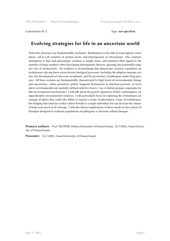Contribution ID: **7** Type: **not specified**

#### **Evolving strategies for life in an uncertain world**

Molecular processes are fundamentally stochastic. Randomness is the rule in transcription, translation, cell-to-cell variation in protein levels, and heterogeneity in interactions. One common assumption is that such phenotypic variation is simply noise, and scientists often appeal to the statistics of large numbers when developing deterministic theories, ignoring any potentially adaptive role of stochasticity. Yet evidence is accumulating that phenotypic variance constitutes an evolutionary driving force across diverse biological processes, including the adaptive immune system, the development of cancerous neoplasms, and the persistence of pathogens under drug pressure. All these systems are fundamentally characterized by high levels of environmental change and uncertainty: either persistent, global, temporal fluctuations in selection pressure, or local, micro-environmental and spatially-defined selective forces. Can evolution prepare organisms for this environmental stochasticity? I will talk about the genetic signatures of this commonplace yet unpredictable environmental variation. I will particularly focus on exploring the evolutionary advantage of alleles that confer the ability to express a range of phenotypes, a type of evolutionary bet-hedging that need not confer a direct benefit to a single individual, but can increase the chance of long-term survival of a lineage. I will also discuss implications of these results in the context of therapies designed to eradicate populations of pathogens or aberrant cellular lineages.

**Primary authors:** Prof. PLOTKIN, Joshua (University of Pennsylvania); Dr CARJA, Oana (University of Pennsylvania)

**Presenter:** Dr CARJA, Oana (University of Pennsylvania)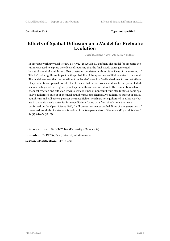Contribution ID: **8** Type: **not specified**

#### **Effects of Spatial Diffusion on a Model for Prebiotic Evolution**

*Tuesday, March 7, 2017 2:10 PM (20 minutes)*

In previous work (Physical Review E 89, 022725 (2014)), a Kauffman-like model for prebiotic evolution was used to explore the effects of requiring that the final steady states generated be out of chemical equilibrium. That constraint, consistent with intuitive ideas of the meaning of 'lifelike', had a significant impact on the probability of the appearance of lifelike states in the model. The model assumed that the constituent 'molecules' were in a 'well-mixed' reactor so that effects of spatial diffusion played no role. I will review that earlier work and describe our present studies in which spatial heterogeneity and spatial diffusion are introduced. The competition between chemical reaction and diffusion leads to various kinds of nonequilibrium steady states, some spatially equilibrated but out of chemical equilibrium, some chemically equilibrated but out of spatial equilibrium and still others, perhaps the most lifelike, which are not equilibrated in either way but are in dynamic steady states far from equilibrium. Using data from simulations that were performed on the Open Science Grid, I will present estimated probabilities of the generation of these various kinds of states as a function of the two parameters of the model (Physical Review E 94 (4), 042424 (2016)).

**Primary author:** Dr INTOY, Ben (University of Minnesota) **Presenter:** Dr INTOY, Ben (University of Minnesota) **Session Classification:** OSG Users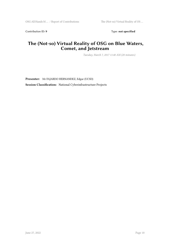Contribution ID: 9 Type: **not specified** 

#### **The (Not-so) Virtual Reality of OSG on Blue Waters, Comet, and Jetstream**

*Tuesday, March 7, 2017 11:40 AM (20 minutes)*

**Presenter:** Mr FAJARDO HERNANDEZ, Edgar (UCSD) **Session Classification:** National Cyberinfrastructure Projects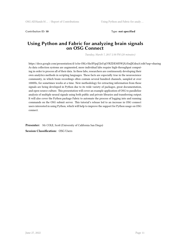Contribution ID: 10 **Type:** not specified

#### **Using Python and Fabric for analyzing brain signals on OSG Connect**

*Tuesday, March 7, 2017 2:30 PM (20 minutes)*

https://docs.google.com/presentation/d/1s5n-ObLv5In3lVpqUJoUqO7RZDEMf5WjXzYmJJGdraA/edit?usp=sharing As data collection systems are augmented, more individual labs require high-throughput computing in order to process all of their data. In these labs, researchers are continuously developing their own analytics methods in scripting languages. These facts are especially true in the neuroscience community, in which brain recordings often contain several hundred channels, sampled at over 1000Hz, for sometimes weeks at a time. New methodology for extracting information from these signals are being developed in Python due to its wide variety of packages, great documentation, and open-source culture. This presentation will cover an example application of OSG to parallelize analysis of multiple neural signals using both public and private libraries and transferring output. It will also cover the Python package Fabric to automate the process of logging into and running commands on the OSG submit server. This tutorial's release led to an increase in OSG connect users interested in using Python, which will help to improve the support for Python usage on OSG connect.

**Presenter:** Mr COLE, Scott (University of California San Diego) **Session Classification:** OSG Users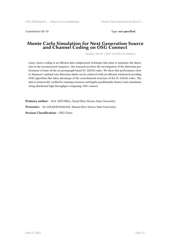Contribution ID: **11** Type: **not specified**

#### **Monte Carlo Simulation for Next Generation Source and Channel Coding on OSG Connect**

*Tuesday, March 7, 2017 1:50 PM (20 minutes)*

Lossy source coding is an efficient data compression technique that aims to minimize the distortion in the reconstructed sequence. Our research involves the investigation of the distortion performance of state-of-the art protograph-based SC-LDGM codes. We show that performance close to Shannon's optimal rate-distortion limits can be achieved with an efficient windowed encoding (WE) algorithm that takes advantage of the convolutional structure of the SC-LDGM codes. The idea is numerically verified by running extensive and highly parallelizable Monte Carlo simulation using distributed high throughput computing, OSG connect

Primary author: Prof. MITCHELL, David (New Mexico State University) **Presenter:** Mr GOLMOHAMMADI, Ahmad (New Mexico State University) **Session Classification:** OSG Users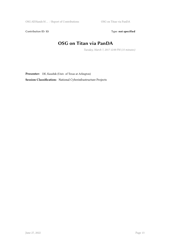Contribution ID: 13 Type: **not specified** 

#### **OSG on Titan via PanDA**

*Tuesday, March 7, 2017 12:00 PM (15 minutes)*

**Presenter:** DE, Kaushik (Univ. of Texas at Arlington)

**Session Classification:** National Cyberinfrastructure Projects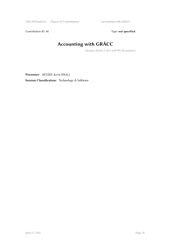Contribution ID: 14 Type: **not specified** 

## **Accounting with GRÅCC**

*Tuesday, March 7, 2017 4:00 PM (20 minutes)*

**Presenter:** RETZKE, Kevin (FNAL)

**Session Classification:** Technology & Software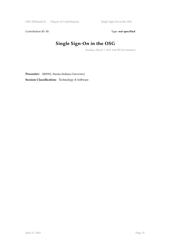Contribution ID: 15 Type: **not specified** 

## **Single Sign-On in the OSG**

*Tuesday, March 7, 2017 4:40 PM (20 minutes)*

**Presenter:** KRENZ, Marina (Indiana University) **Session Classification:** Technology & Software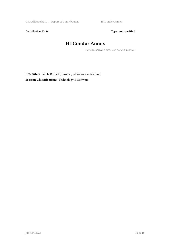Contribution ID: 16 Type: not specified

## **HTCondor Annex**

*Tuesday, March 7, 2017 5:00 PM (30 minutes)*

**Presenter:** MILLER, Todd (University of Wisconsin–Madison) **Session Classification:** Technology & Software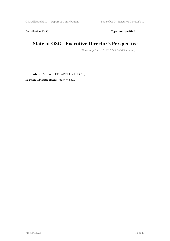Contribution ID: 17 Type: **not specified** 

## **State of OSG - Executive Director's Perspective**

*Wednesday, March 8, 2017 9:05 AM (25 minutes)*

**Presenter:** Prof. WUERTHWEIN, Frank (UCSD) **Session Classification:** State of OSG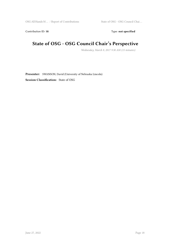Contribution ID: 18 Type: not specified

## **State of OSG - OSG Council Chair's Perspective**

*Wednesday, March 8, 2017 9:30 AM (15 minutes)*

**Presenter:** SWANSON, David (University of Nebraska Lincoln) **Session Classification:** State of OSG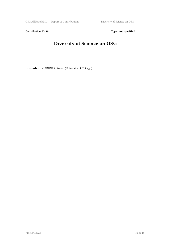Contribution ID: 19 Type: **not specified** 

## **Diversity of Science on OSG**

**Presenter:** GARDNER, Robert (University of Chicago)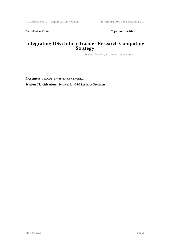Contribution ID: 20 Type: **not specified** 

#### **Integrating OSG Into a Broader Research Computing Strategy**

*Tuesday, March 7, 2017 9:50 AM (20 minutes)*

**Presenter:** SEDORE, Eric (Syracuse University)

**Session Classification:** Services for OSG Resource Providers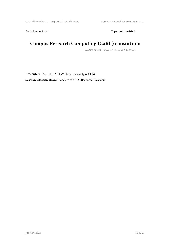Contribution ID: 21 Type: **not specified** 

#### **Campus Research Computing (CaRC) consortium**

*Tuesday, March 7, 2017 10:10 AM (20 minutes)*

**Presenter:** Prof. CHEATHAM, Tom (University of Utah) **Session Classification:** Services for OSG Resource Providers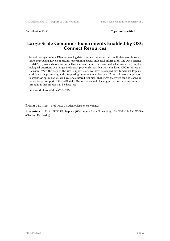Contribution ID: **22** Type: **not specified**

#### **Large-Scale Genomics Experiments Enabled by OSG Connect Resources**

Several petabytes of raw DNA sequencing data have been deposited into public databases in recent years, introducing novel opportunities for mining useful biological information. The Open Science Grid (OSG) provides hardware and software infrastructure that have enabled us to address complex biological questions at a larger scale than previously possible with our local HPC resources at Clemson. With the help of the OSG support staff, we have developed two functional Pegasus workflows for processing and interpreting large genomic datasets. From software compilation to workflow optimization, we have encountered technical challenges that were quickly eased by the dedicated support of the OSG staff. The successes and challenges that we have encountered throughout this process will be discussed.

https://github.com/feltus/OSG-GEM

Primary author: Prof. FELTUS, Alex (Clemson University)

**Presenters:** Prof. FICKLIN, Stephen (Washington State University); Mr POEHLMAN, William (Clemson University)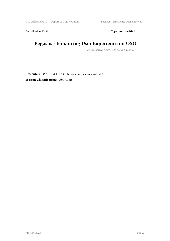Contribution ID: 23 Type: **not specified** 

## **Pegasus - Enhancing User Experience on OSG**

*Tuesday, March 7, 2017 3:10 PM (20 minutes)*

**Presenter:** RYNGE, Mats (USC / Information Sciences Institute) **Session Classification:** OSG Users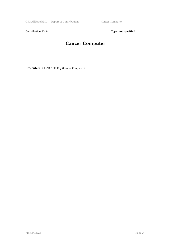OSG All Hands M ... / Report of Contributions Cancer Computer

Contribution ID: 24 Type: **not specified** 

## **Cancer Computer**

**Presenter:** CHARTIER, Roy (Cancer Computer)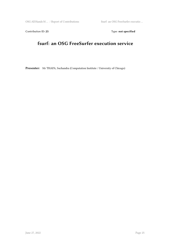Contribution ID: 25 Type: **not specified** 

## **fsurf: an OSG FreeSurfer execution service**

**Presenter:** Mr THAPA, Suchandra (Computation Institute / University of Chicago)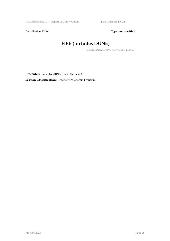Contribution ID: 26 Type: **not specified** 

## **FIFE (includes DUNE)**

*Monday, March 6, 2017 3:05 PM (25 minutes)*

**Presenter:** Mrs LEVSHINA, Tanya (Fermilab)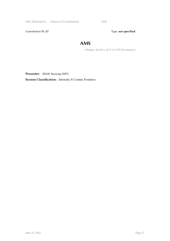OSG All Hands M … / Report of Contributions AMS

Contribution ID: 27 Type: **not specified** 

#### **AMS**

*Monday, March 6, 2017 2:15 PM (30 minutes)*

**Presenter:** SHAN, Baosong (MIT)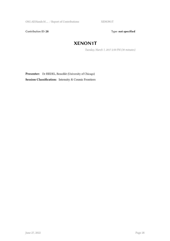Contribution ID: 28 Type: **not specified** 

#### **XENON1T**

*Tuesday, March 7, 2017 2:50 PM (30 minutes)*

**Presenter:** Dr RIEDEL, Benedikt (University of Chicago)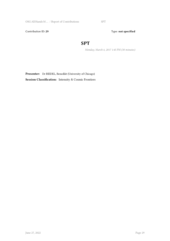OSG All Hands M ... / Report of Contributions SPT

Contribution ID: 29 Type: **not specified** 

#### **SPT**

*Monday, March 6, 2017 1:45 PM (30 minutes)*

**Presenter:** Dr RIEDEL, Benedikt (University of Chicago)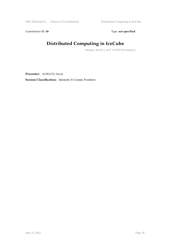Contribution ID: 30 Type: **not specified** 

## **Distributed Computing in IceCube**

*Monday, March 6, 2017 3:30 PM (30 minutes)*

**Presenter:** SCHULTZ, David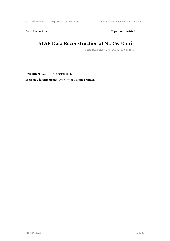Contribution ID: 31 Type: **not specified** 

#### **STAR Data Reconstruction at NERSC/Cori**

*Tuesday, March 7, 2017 2:00 PM (30 minutes)*

**Presenter:** MUSTAFA, Mustafa (LBL)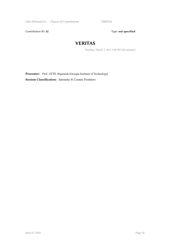OSG All Hands M  $\dots$  / Report of Contributions  $\hfill\text{VERITAS}$ 

Contribution ID: 32 Type: **not specified** 

#### **VERITAS**

*Tuesday, March 7, 2017 1:30 PM (30 minutes)*

**Presenter:** Prof. OTTE, Nepomuk (Georgia Institute of Technology) **Session Classification:** Intensity & Cosmic Frontiers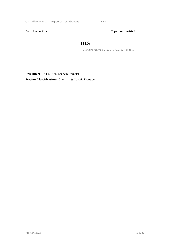OSG All Hands M … / Report of Contributions DES

Contribution ID: 33 Type: **not specified** 

#### **DES**

*Monday, March 6, 2017 11:16 AM (24 minutes)*

**Presenter:** Dr HERNER, Kenneth (Fermilab)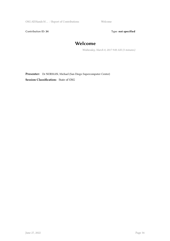OSG All Hands M ... / Report of Contributions Welcome

Contribution ID: 34 Type: **not specified** 

#### **Welcome**

*Wednesday, March 8, 2017 9:00 AM (5 minutes)*

**Presenter:** Dr NORMAN, Michael (San Diego Supercomputer Center) **Session Classification:** State of OSG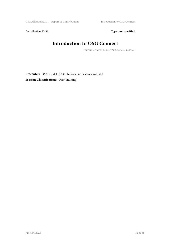Contribution ID: 35 Type: **not specified** 

## **Introduction to OSG Connect**

*Thursday, March 9, 2017 9:00 AM (15 minutes)*

**Presenter:** RYNGE, Mats (USC / Information Sciences Institute) **Session Classification:** User Training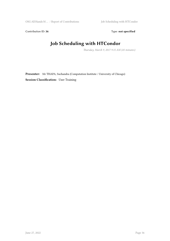Contribution ID: 36 Type: **not specified** 

# **Job Scheduling with HTCondor**

*Thursday, March 9, 2017 9:15 AM (45 minutes)*

**Presenter:** Mr THAPA, Suchandra (Computation Institute / University of Chicago) **Session Classification:** User Training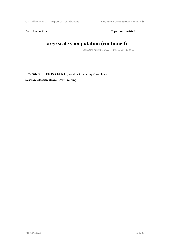Contribution ID: 37 Type: **not specified** 

# **Large scale Computation (continued)**

*Thursday, March 9, 2017 11:00 AM (25 minutes)*

**Presenter:** Dr DESINGHU, Bala (Scientific Computing Consultant) **Session Classification:** User Training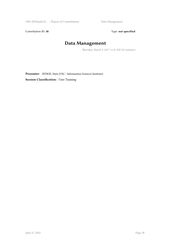OSG All Hands M ... / Report of Contributions Data Management

Contribution ID: 38 Type: **not specified** 

# **Data Management**

*Thursday, March 9, 2017 11:25 AM (25 minutes)*

**Presenter:** RYNGE, Mats (USC / Information Sciences Institute)

**Session Classification:** User Training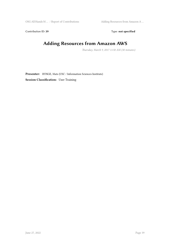Contribution ID: 39 Type: **not specified** 

# **Adding Resources from Amazon AWS**

*Thursday, March 9, 2017 11:50 AM (30 minutes)*

**Presenter:** RYNGE, Mats (USC / Information Sciences Institute) **Session Classification:** User Training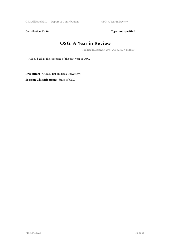Contribution ID: 40 **Type:** not specified

#### **OSG: A Year in Review**

*Wednesday, March 8, 2017 2:00 PM (30 minutes)*

A look back at the successes of the past year of OSG.

**Presenter:** QUICK, Rob (Indiana University) **Session Classification:** State of OSG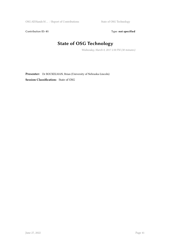Contribution ID: 41 Type: **not specified** 

# **State of OSG Technology**

*Wednesday, March 8, 2017 2:30 PM (30 minutes)*

**Presenter:** Dr BOCKELMAN, Brian (University of Nebraska-Lincoln) **Session Classification:** State of OSG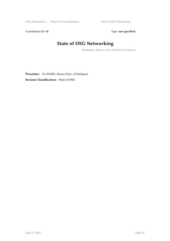Contribution ID: 42 Type: **not specified** 

# **State of OSG Networking**

*Wednesday, March 8, 2017 3:00 PM (15 minutes)*

**Presenter:** Dr MCKEE, Shawn (Univ. of Michigan) **Session Classification:** State of OSG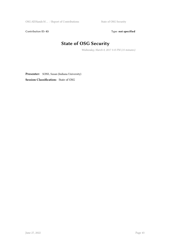Contribution ID: 43 Type: **not specified** 

# **State of OSG Security**

*Wednesday, March 8, 2017 3:15 PM (15 minutes)*

Presenter: SONS, Susan (Indiana University) **Session Classification:** State of OSG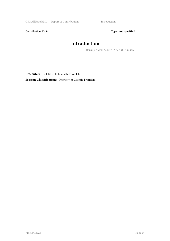OSG All Hands M … / Report of Contributions Introduction

Contribution ID: 44 Type: **not specified** 

# **Introduction**

*Monday, March 6, 2017 11:15 AM (1 minute)*

**Presenter:** Dr HERNER, Kenneth (Fermilab)

**Session Classification:** Intensity & Cosmic Frontiers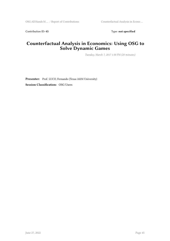Contribution ID: 45 Type: **not specified** 

#### **Counterfactual Analysis in Economics: Using OSG to Solve Dynamic Games**

*Tuesday, March 7, 2017 1:30 PM (20 minutes)*

**Presenter:** Prof. LUCO, Fernando (Texas A&M University) **Session Classification:** OSG Users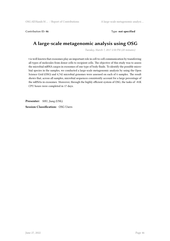Contribution ID: 46 Type: **not specified** 

#### **A large-scale metagenomic analysis using OSG**

*Tuesday, March 7, 2017 2:50 PM (20 minutes)*

t is well known that exosomes play an important role in cell-to-cell communication by transferring all types of molecules from donor cells to recipient cells. The objective of this study was to assess the microbial mRNA cargos in exosomes of one type of body fluids. To identify the possible microbial species in the samples, we conducted a large-scale metagenomic analysis by using the Open Science Grid (OSG) and 4,742 microbial genomes were assessed on each of 6 samples. The result shows that, across all samples, microbial sequences consistently account for a large percentage of the mRNAs in exosomes. Moreover, through the highly efficient system of OSG, the tasks of ~81K CPU hours were completed in 17 days.

**Presenter:** SHU, Jiang (UNL)

**Session Classification:** OSG Users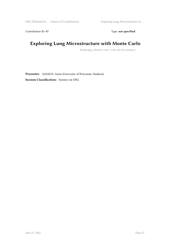Contribution ID: 47 Type: **not specified** 

# **Exploring Lung Microstructure with Monte Carlo**

*Wednesday, March 8, 2017 11:00 AM (25 minutes)*

**Presenter:** MALKUS, Annie (University of Wisconsin–Madison) **Session Classification:** Science on OSG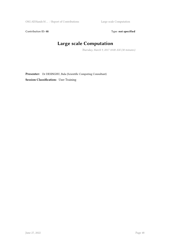Contribution ID: 48 Type: **not specified** 

# **Large scale Computation**

*Thursday, March 9, 2017 10:00 AM (30 minutes)*

**Presenter:** Dr DESINGHU, Bala (Scientific Computing Consultant) **Session Classification:** User Training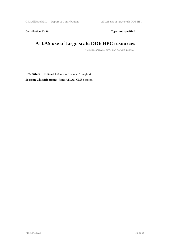Contribution ID: 49 Type: **not specified** 

# **ATLAS use of large scale DOE HPC resources**

*Monday, March 6, 2017 4:50 PM (20 minutes)*

**Presenter:** DE, Kaushik (Univ. of Texas at Arlington)

**Session Classification:** Joint ATLAS, CMS Session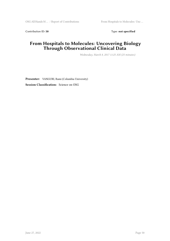Contribution ID: 50 Type: not specified

#### **From Hospitals to Molecules: Uncovering Biology Through Observational Clinical Data**

*Wednesday, March 8, 2017 11:25 AM (25 minutes)*

**Presenter:** VANGURI, Rami (Columbia University) **Session Classification:** Science on OSG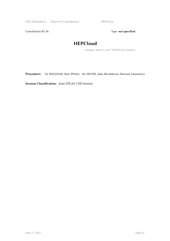OSG All Hands M ... / Report of Contributions HEPCloud

Contribution ID: 51 Type: **not specified** 

#### **HEPCloud**

*Monday, March 6, 2017 5:30 PM (20 minutes)*

**Presenters:** Dr HOLZMAN, Burt (FNAL); Mr HOVER, John (Brookhaven National Laboratory)

**Session Classification:** Joint ATLAS, CMS Session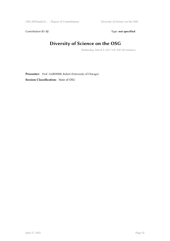Contribution ID: 52 Type: **not specified** 

# **Diversity of Science on the OSG**

*Wednesday, March 8, 2017 9:45 AM (30 minutes)*

**Presenter:** Prof. GARDNER, Robert (University of Chicago) **Session Classification:** State of OSG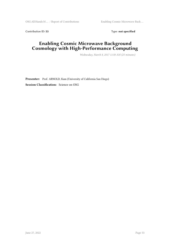Contribution ID: 53 Type: **not specified** 

#### **Enabling Cosmic Microwave Background Cosmology with High-Performance Computing**

*Wednesday, March 8, 2017 11:50 AM (25 minutes)*

**Presenter:** Prof. ARNOLD, Kam (University of California San Diego) **Session Classification:** Science on OSG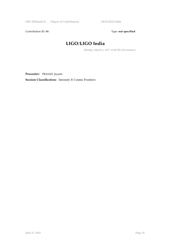Contribution ID: 54 Type: **not specified** 

#### **LIGO/LIGO India**

*Monday, March 6, 2017 12:00 PM (30 minutes)*

**Presenter:** PRASAD, Jayanti

**Session Classification:** Intensity & Cosmic Frontiers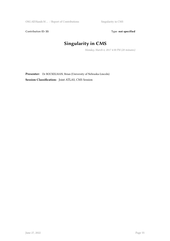Contribution ID: 55 Type: **not specified** 

# **Singularity in CMS**

*Monday, March 6, 2017 4:30 PM (20 minutes)*

**Presenter:** Dr BOCKELMAN, Brian (University of Nebraska-Lincoln) **Session Classification:** Joint ATLAS, CMS Session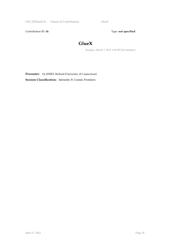OSG All Hands M ... / Report of Contributions GlueX

Contribution ID: 56 Type: **not specified** 

#### **GlueX**

*Tuesday, March 7, 2017 2:30 PM (20 minutes)*

**Presenter:** Dr JONES, Richard (University of Connecticut) **Session Classification:** Intensity & Cosmic Frontiers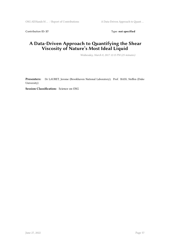Contribution ID: 57 Type: **not specified** 

#### **A Data-Driven Approach to Quantifying the Shear Viscosity of Nature's Most Ideal Liquid**

*Wednesday, March 8, 2017 12:15 PM (25 minutes)*

**Presenters:** Dr LAURET, Jerome (Brookhaven National Laboratory); Prof. BASS, Steffen (Duke University)

**Session Classification:** Science on OSG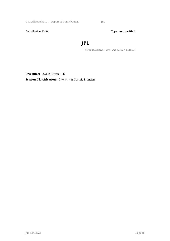OSG All Hands M … / Report of Contributions JPL

Contribution ID: 58 Type: **not specified** 

#### **JPL**

*Monday, March 6, 2017 2:45 PM (20 minutes)*

**Presenter:** BALES, Bryan (JPL)

**Session Classification:** Intensity & Cosmic Frontiers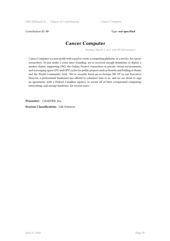Contribution ID: 59 Type: **not specified** 

#### **Cancer Computer**

*Tuesday, March 7, 2017 4:00 PM (20 minutes)*

Cancer Computer is a non-profit with a goal to create a computing platform, as a service, for cancer researchers. In just under 2 years since founding, we've received enough donations, to deploy a modest cluster, supporting OSG, the Galaxy Project, researchers in private virtual environments, and scavenging spare CPU and GPU cycles for public projects such as Rosetta and Folding at Home, and the World Community Grid. We've recently hired an ex-fortune 500 VP as our Executive Director, a professional fundraiser has offered to volunteer time to us, and we are about to sign an agreement, with a Federal Canadian Agency, to secure all of their evergreened computing, networking, and storage hardware, for several years.

**Presenter:** CHARTIER, Roy

**Session Classification:** Life Sciences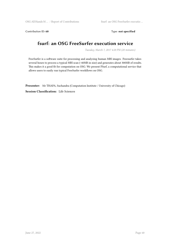Contribution ID: 60 Type: not specified

#### **fsurf: an OSG FreeSurfer execution service**

*Tuesday, March 7, 2017 4:20 PM (20 minutes)*

FreeSurfer is a software suite for processing and analyzing human MRI images. Freesurfer takes several hours to process a typical MRI scan (~40MB in size) and generates about 300MB of results. This makes it a good fit for computation on OSG. We present FSurf, a computational service that allows users to easily run typical FreeSurfer workflows on OSG.

**Presenter:** Mr THAPA, Suchandra (Computation Institute / University of Chicago)

**Session Classification:** Life Sciences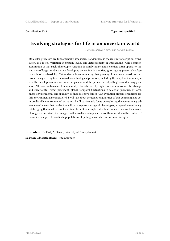#### Contribution ID: **61** Type: **not specified**

#### **Evolving strategies for life in an uncertain world**

*Tuesday, March 7, 2017 4:40 PM (20 minutes)*

Molecular processes are fundamentally stochastic. Randomness is the rule in transcription, translation, cell-to-cell variation in protein levels, and heterogeneity in interactions. One common assumption is that such phenotypic variation is simply noise, and scientists often appeal to the statistics of large numbers when developing deterministic theories, ignoring any potentially adaptive role of stochasticity. Yet evidence is accumulating that phenotypic variance constitutes an evolutionary driving force across diverse biological processes, including the adaptive immune system, the development of cancerous neoplasms, and the persistence of pathogens under drug pressure. All these systems are fundamentally characterized by high levels of environmental change and uncertainty: either persistent, global, temporal fluctuations in selection pressure, or local, micro-environmental and spatially-defined selective forces. Can evolution prepare organisms for this environmental stochasticity? I will talk about the genetic signatures of this commonplace yet unpredictable environmental variation. I will particularly focus on exploring the evolutionary advantage of alleles that confer the ability to express a range of phenotypes, a type of evolutionary bet-hedging that need not confer a direct benefit to a single individual, but can increase the chance of long-term survival of a lineage. I will also discuss implications of these results in the context of therapies designed to eradicate populations of pathogens or aberrant cellular lineages.

**Presenter:** Dr CARJA, Oana (University of Pennsylvania) **Session Classification:** Life Sciences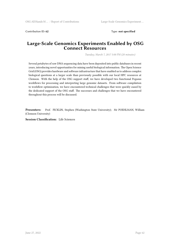Contribution ID: 62 Type: **not specified** 

#### **Large-Scale Genomics Experiments Enabled by OSG Connect Resources**

*Tuesday, March 7, 2017 5:00 PM (20 minutes)*

Several petabytes of raw DNA sequencing data have been deposited into public databases in recent years, introducing novel opportunities for mining useful biological information. The Open Science Grid (OSG) provides hardware and software infrastructure that have enabled us to address complex biological questions at a larger scale than previously possible with our local HPC resources at Clemson. With the help of the OSG support staff, we have developed two functional Pegasus workflows for processing and interpreting large genomic datasets. From software compilation to workflow optimization, we have encountered technical challenges that were quickly eased by the dedicated support of the OSG staff. The successes and challenges that we have encountered throughout this process will be discussed.

**Presenters:** Prof. FICKLIN, Stephen (Washington State University); Mr POEHLMAN, William (Clemson University)

**Session Classification:** Life Sciences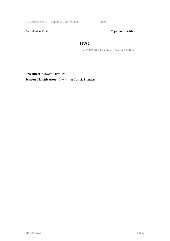OSG All Hands M ... / Report of Contributions IPAC

Contribution ID: 63 Type: **not specified** 

#### **IPAC**

*Monday, March 6, 2017 11:40 AM (20 minutes)*

**Presenter:** GROOM, Steve (IPAC)

**Session Classification:** Intensity & Cosmic Frontiers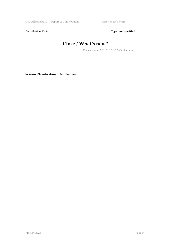Contribution ID: 64 Type: **not specified** 

# **Close / What's next?**

*Thursday, March 9, 2017 12:20 PM (10 minutes)*

**Session Classification:** User Training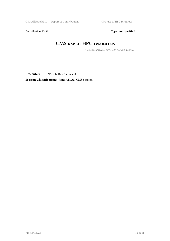Contribution ID: 65 Type: **not specified** 

# **CMS use of HPC resources**

*Monday, March 6, 2017 5:10 PM (20 minutes)*

**Presenter:** HUFNAGEL, Dirk (Fermilab)

**Session Classification:** Joint ATLAS, CMS Session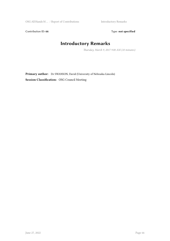Contribution ID: 66 Type: **not specified** 

# **Introductory Remarks**

*Thursday, March 9, 2017 9:00 AM (10 minutes)*

**Primary author:** Dr SWANSON, David (University of Nebraska-Lincoln) **Session Classification:** OSG Council Meeting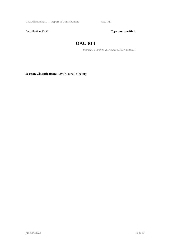OSG All Hands M … / Report of Contributions OAC RFI

Contribution ID: 67 Type: **not specified** 

#### **OAC RFI**

*Thursday, March 9, 2017 12:20 PM (10 minutes)*

**Session Classification:** OSG Council Meeting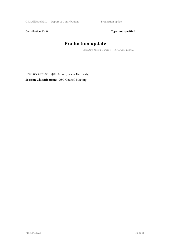OSG All Hands M ... / Report of Contributions Production update

Contribution ID: 68 Type: **not specified** 

# **Production update**

*Thursday, March 9, 2017 11:10 AM (25 minutes)*

**Primary author:** QUICK, Rob (Indiana University) **Session Classification:** OSG Council Meeting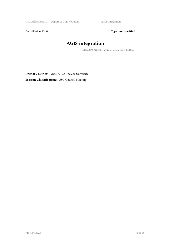Contribution ID: 69 Type: **not specified** 

# **AGIS integration**

*Thursday, March 9, 2017 11:35 AM (15 minutes)*

**Primary author:** QUICK, Rob (Indiana University) **Session Classification:** OSG Council Meeting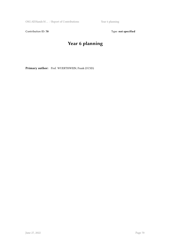OSG All Hands M ... / Report of Contributions Year 6 planning

Contribution ID: 70 Type: not specified

# **Year 6 planning**

**Primary author:** Prof. WUERTHWEIN, Frank (UCSD)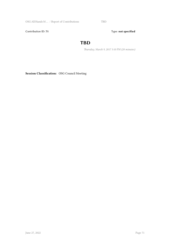OSG All Hands M … / Report of Contributions TBD

Contribution ID: 71 Type: **not specified** 

#### **TBD**

*Thursday, March 9, 2017 3:10 PM (20 minutes)*

**Session Classification:** OSG Council Meeting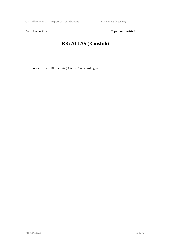Contribution ID: 72 Type: **not specified** 

# **RR: ATLAS (Kaushik)**

**Primary author:** DE, Kaushik (Univ. of Texas at Arlington)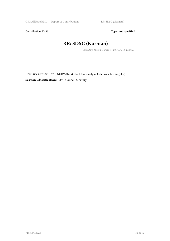Contribution ID: 73 Type: **not specified** 

# **RR: SDSC (Norman)**

*Thursday, March 9, 2017 11:00 AM (10 minutes)*

**Primary author:** VAN NORMAN, Michael (University of California, Los Angeles) **Session Classification:** OSG Council Meeting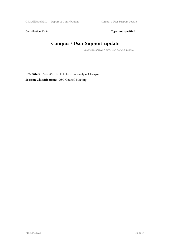Contribution ID: 74 Type: **not specified** 

# **Campus / User Support update**

*Thursday, March 9, 2017 2:00 PM (30 minutes)*

**Presenter:** Prof. GARDNER, Robert (University of Chicago) **Session Classification:** OSG Council Meeting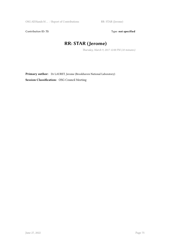Contribution ID: 75 Type: **not specified** 

# **RR: STAR (Jerome)**

*Thursday, March 9, 2017 12:00 PM (10 minutes)*

**Primary author:** Dr LAURET, Jerome (Brookhaven National Laboratory) **Session Classification:** OSG Council Meeting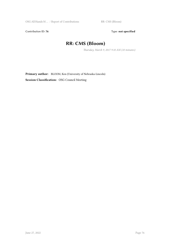Contribution ID: 76 Type: not specified

# **RR: CMS (Bloom)**

*Thursday, March 9, 2017 9:10 AM (10 minutes)*

**Primary author:** BLOOM, Ken (University of Nebraska-Lincoln) **Session Classification:** OSG Council Meeting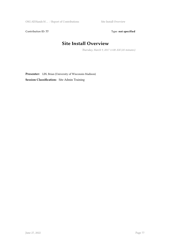Contribution ID: 77 Type: **not specified** 

#### **Site Install Overview**

*Thursday, March 9, 2017 11:00 AM (45 minutes)*

**Presenter:** LIN, Brian (University of Wisconsin-Madison) **Session Classification:** Site Admin Training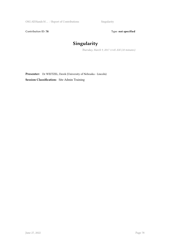OSG All Hands M  $\dots$  / Report of Contributions Singularity

Contribution ID: 78 Type: not specified

# **Singularity**

*Thursday, March 9, 2017 11:45 AM (10 minutes)*

**Presenter:** Dr WEITZEL, Derek (University of Nebraska - Lincoln) **Session Classification:** Site Admin Training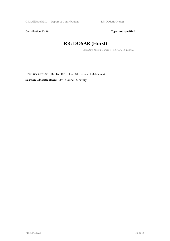Contribution ID: 79 Type: not specified

#### **RR: DOSAR (Horst)**

*Thursday, March 9, 2017 11:50 AM (10 minutes)*

**Primary author:** Dr SEVERINI, Horst (University of Oklahoma) **Session Classification:** OSG Council Meeting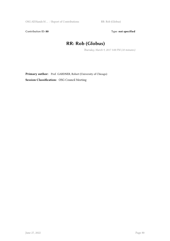Contribution ID: 80 **Type:** not specified

#### **RR: Rob (Globus)**

*Thursday, March 9, 2017 3:00 PM (10 minutes)*

**Primary author:** Prof. GARDNER, Robert (University of Chicago) **Session Classification:** OSG Council Meeting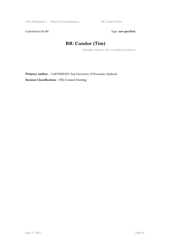Contribution ID: 81 Type: **not specified** 

# **RR: Condor (Tim)**

*Thursday, March 9, 2017 12:10 PM (10 minutes)*

**Primary author:** CARTWRIGHT, Tim (University of Wisconsin–Madison) **Session Classification:** OSG Council Meeting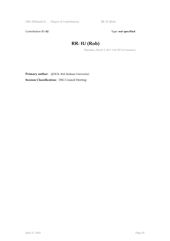Contribution ID: 82 Type: **not specified** 

#### **RR: IU (Rob)**

*Thursday, March 9, 2017 2:50 PM (10 minutes)*

**Primary author:** QUICK, Rob (Indiana University) **Session Classification:** OSG Council Meeting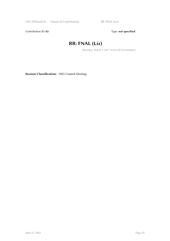Contribution ID: 83 Type: **not specified** 

# **RR: FNAL (Liz)**

*Thursday, March 9, 2017 10:10 AM (10 minutes)*

**Session Classification:** OSG Council Meeting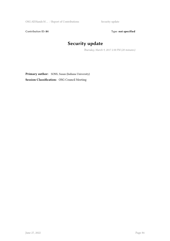Contribution ID: 84 Type: **not specified** 

# **Security update**

*Thursday, March 9, 2017 2:30 PM (20 minutes)*

Primary author: SONS, Susan (Indiana University) **Session Classification:** OSG Council Meeting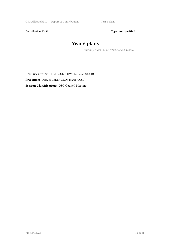Contribution ID: 85 Type: **not specified** 

# **Year 6 plans**

*Thursday, March 9, 2017 9:20 AM (50 minutes)*

Primary author: Prof. WUERTHWEIN, Frank (UCSD) **Presenter:** Prof. WUERTHWEIN, Frank (UCSD) **Session Classification:** OSG Council Meeting